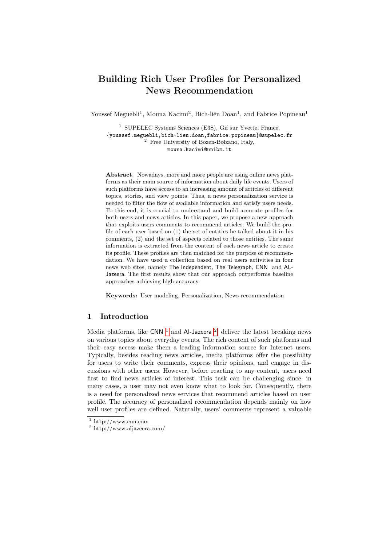# Building Rich User Profiles for Personalized News Recommendation

Youssef Meguebli<sup>1</sup>, Mouna Kacimi<sup>2</sup>, Bich-liên Doan<sup>1</sup>, and Fabrice Popineau<sup>1</sup>

<sup>1</sup> SUPELEC Systems Sciences (E3S), Gif sur Yvette, France, {youssef.meguebli,bich-lien.doan,fabrice.popineau}@supelec.fr <sup>2</sup> Free University of Bozen-Bolzano, Italy, mouna.kacimi@unibz.it

Abstract. Nowadays, more and more people are using online news platforms as their main source of information about daily life events. Users of such platforms have access to an increasing amount of articles of different topics, stories, and view points. Thus, a news personalization service is needed to filter the flow of available information and satisfy users needs. To this end, it is crucial to understand and build accurate profiles for both users and news articles. In this paper, we propose a new approach that exploits users comments to recommend articles. We build the profile of each user based on (1) the set of entities he talked about it in his comments, (2) and the set of aspects related to those entities. The same information is extracted from the content of each news article to create its profile. These profiles are then matched for the purpose of recommendation. We have used a collection based on real users activities in four news web sites, namely The Independent, The Telegraph, CNN and AL-Jazeera. The first results show that our approach outperforms baseline approaches achieving high accuracy.

Keywords: User modeling, Personalization, News recommendation

## 1 Introduction

Media platforms, like  $CNN^{-1}$  $CNN^{-1}$  $CNN^{-1}$  and Al-Jazeera<sup>[2](#page-0-1)</sup>, deliver the latest breaking news on various topics about everyday events. The rich content of such platforms and their easy access make them a leading information source for Internet users. Typically, besides reading news articles, media platforms offer the possibility for users to write their comments, express their opinions, and engage in discussions with other users. However, before reacting to any content, users need first to find news articles of interest. This task can be challenging since, in many cases, a user may not even know what to look for. Consequently, there is a need for personalized news services that recommend articles based on user profile. The accuracy of personalized recommendation depends mainly on how well user profiles are defined. Naturally, users' comments represent a valuable

<span id="page-0-0"></span> $1 \text{ http://www.cnn.com}$ 

<span id="page-0-1"></span><sup>2</sup> http://www.aljazeera.com/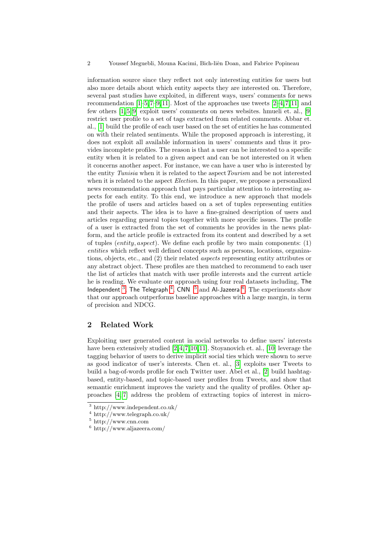information source since they reflect not only interesting entities for users but also more details about which entity aspects they are interested on. Therefore, several past studies have exploited, in different ways, users' comments for news recommendation  $[1-5,7-9,11]$  $[1-5,7-9,11]$  $[1-5,7-9,11]$  $[1-5,7-9,11]$  $[1-5,7-9,11]$ . Most of the approaches use tweets  $[2-4,7,11]$  $[2-4,7,11]$  $[2-4,7,11]$  $[2-4,7,11]$  and few others [\[1,](#page-7-0) [5,](#page-7-1) [9\]](#page-7-3) exploit users' comments on news websites. hmueli et. al., [\[9\]](#page-7-3) restrict user profile to a set of tags extracted from related comments. Abbar et. al., [\[1\]](#page-7-0) build the profile of each user based on the set of entities he has commented on with their related sentiments. While the proposed approach is interesting, it does not exploit all available information in users' comments and thus it provides incomplete profiles. The reason is that a user can be interested to a specific entity when it is related to a given aspect and can be not interested on it when it concerns another aspect. For instance, we can have a user who is interested by the entity Tunisia when it is related to the aspect Tourism and be not interested when it is related to the aspect *Election*. In this paper, we propose a personalized news recommendation approach that pays particular attention to interesting aspects for each entity. To this end, we introduce a new approach that models the profile of users and articles based on a set of tuples representing entities and their aspects. The idea is to have a fine-grained description of users and articles regarding general topics together with more specific issues. The profile of a user is extracted from the set of comments he provides in the news platform, and the article profile is extracted from its content and described by a set of tuples  $(entity, aspect)$ . We define each profile by two main components:  $(1)$ entities which reflect well defined concepts such as persons, locations, organizations, objects, etc., and (2) their related aspects representing entity attributes or any abstract object. These profiles are then matched to recommend to each user the list of articles that match with user profile interests and the current article he is reading. We evaluate our approach using four real datasets including, The Independent <sup>[3](#page-1-0)</sup>, The Telegraph <sup>[4](#page-1-1)</sup>, CNN  $5$  and Al-Jazeera  $6$ . The experiments show that our approach outperforms baseline approaches with a large margin, in term of precision and NDCG.

## 2 Related Work

Exploiting user generated content in social networks to define users' interests have been extensively studied [\[2,](#page-7-5)[4,](#page-7-6)[7,](#page-7-2)[10,](#page-7-7)[11\]](#page-7-4). Stoyanovich et. al., [\[10\]](#page-7-7) leverage the tagging behavior of users to derive implicit social ties which were shown to serve as good indicator of user's interests. Chen et. al., [\[3\]](#page-7-8) exploits user Tweets to build a bag-of-words profile for each Twitter user. Abel et al., [\[2\]](#page-7-5) build hashtagbased, entity-based, and topic-based user profiles from Tweets, and show that semantic enrichment improves the variety and the quality of profiles. Other approaches [\[4,](#page-7-6) [7\]](#page-7-2) address the problem of extracting topics of interest in micro-

<span id="page-1-0"></span><sup>3</sup> http://www.independent.co.uk/

<span id="page-1-1"></span><sup>4</sup> http://www.telegraph.co.uk/

<span id="page-1-2"></span><sup>5</sup> http://www.cnn.com

<span id="page-1-3"></span> $^6$ http://www.aljazeera.com/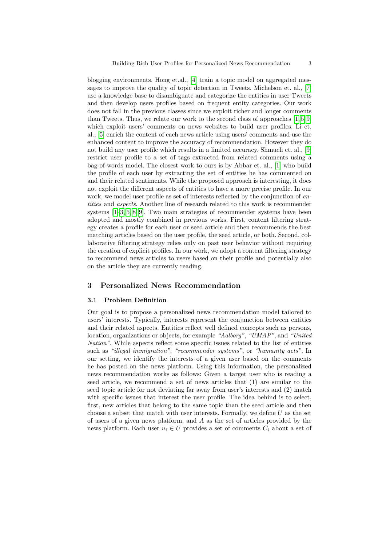blogging environments. Hong et.al., [\[4\]](#page-7-6) train a topic model on aggregated messages to improve the quality of topic detection in Tweets. Michelson et. al., [\[7\]](#page-7-2) use a knowledge base to disambiguate and categorize the entities in user Tweets and then develop users profiles based on frequent entity categories. Our work does not fall in the previous classes since we exploit richer and longer comments than Tweets. Thus, we relate our work to the second class of approaches  $[1, 5, 9]$  $[1, 5, 9]$  $[1, 5, 9]$ which exploit users' comments on news websites to build user profiles. Li et. al., [\[5\]](#page-7-1) enrich the content of each news article using users' comments and use the enhanced content to improve the accuracy of recommendation. However they do not build any user profile which results in a limited accuracy. Shmueli et. al., [\[9\]](#page-7-3) restrict user profile to a set of tags extracted from related comments using a bag-of-words model. The closest work to ours is by Abbar et. al., [\[1\]](#page-7-0) who build the profile of each user by extracting the set of entities he has commented on and their related sentiments. While the proposed approach is interesting, it does not exploit the different aspects of entities to have a more precise profile. In our work, we model user profile as set of interests reflected by the conjunction of entities and aspects. Another line of research related to this work is recommender systems [\[1](#page-7-0)[–3,](#page-7-8) [5,](#page-7-1) [8,](#page-7-9) [9\]](#page-7-3). Two main strategies of recommender systems have been adopted and mostly combined in previous works. First, content filtering strategy creates a profile for each user or seed article and then recommends the best matching articles based on the user profile, the seed article, or both. Second, collaborative filtering strategy relies only on past user behavior without requiring the creation of explicit profiles. In our work, we adopt a content filtering strategy to recommend news articles to users based on their profile and potentially also on the article they are currently reading.

## 3 Personalized News Recommendation

#### 3.1 Problem Definition

Our goal is to propose a personalized news recommendation model tailored to users' interests. Typically, interests represent the conjunction between entities and their related aspects. Entities reflect well defined concepts such as persons, location, organizations or objects, for example "Aalborg", "UMAP", and "United Nation". While aspects reflect some specific issues related to the list of entities such as "illegal immigration", "recommender systems", or "humanity acts". In our setting, we identify the interests of a given user based on the comments he has posted on the news platform. Using this information, the personalized news recommendation works as follows: Given a target user who is reading a seed article, we recommend a set of news articles that (1) are similar to the seed topic article for not deviating far away from user's interests and (2) match with specific issues that interest the user profile. The idea behind is to select, first, new articles that belong to the same topic than the seed article and then choose a subset that match with user interests. Formally, we define  $U$  as the set of users of a given news platform, and A as the set of articles provided by the news platform. Each user  $u_i \in U$  provides a set of comments  $C_i$  about a set of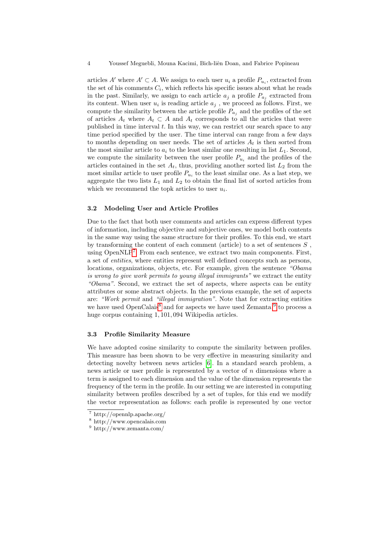articles  $A'$  where  $A' \subset A$ . We assign to each user  $u_i$  a profile  $P_{u_i}$ , extracted from the set of his comments  $C_i$ , which reflects his specific issues about what he reads in the past. Similarly, we assign to each article  $a_j$  a profile  $P_{a_j}$  extracted from its content. When user  $u_i$  is reading article  $a_j$ , we proceed as follows. First, we compute the similarity between the article profile  $P_{a_j}$  and the profiles of the set of articles  $A_t$  where  $A_t \subset A$  and  $A_t$  corresponds to all the articles that were published in time interval  $t$ . In this way, we can restrict our search space to any time period specified by the user. The time interval can range from a few days to months depending on user needs. The set of articles  $A_t$  is then sorted from the most similar article to  $a_i$  to the least similar one resulting in list  $L_1$ . Second, we compute the similarity between the user profile  $P_{u_i}$  and the profiles of the articles contained in the set  $A_t$ , thus, providing another sorted list  $L_2$  from the most similar article to user profile  $P_{u_i}$  to the least similar one. As a last step, we aggregate the two lists  $L_1$  and  $L_2$  to obtain the final list of sorted articles from which we recommend the topk articles to user  $u_i$ .

#### 3.2 Modeling User and Article Profiles

Due to the fact that both user comments and articles can express different types of information, including objective and subjective ones, we model both contents in the same way using the same structure for their profiles. To this end, we start by transforming the content of each comment (article) to a set of sentences  $S$ , using  $OpenNLP<sup>7</sup>$  $OpenNLP<sup>7</sup>$  $OpenNLP<sup>7</sup>$ . From each sentence, we extract two main components. First, a set of entities, where entities represent well defined concepts such as persons, locations, organizations, objects, etc. For example, given the sentence "Obama" is wrong to give work permits to young illegal immigrants" we extract the entity "Obama". Second, we extract the set of aspects, where aspects can be entity attributes or some abstract objects. In the previous example, the set of aspects are: "Work permit and "illegal immigration". Note that for extracting entities we have used OpenCalais<sup>[8](#page-3-1)</sup> and for aspects we have used Zemanta<sup>[9](#page-3-2)</sup> to process a huge corpus containing 1, 101, 094 Wikipedia articles.

#### 3.3 Profile Similarity Measure

We have adopted cosine similarity to compute the similarity between profiles. This measure has been shown to be very effective in measuring similarity and detecting novelty between news articles [\[6\]](#page-7-10). In a standard search problem, a news article or user profile is represented by a vector of n dimensions where a term is assigned to each dimension and the value of the dimension represents the frequency of the term in the profile. In our setting we are interested in computing similarity between profiles described by a set of tuples, for this end we modify the vector representation as follows: each profile is represented by one vector

<span id="page-3-0"></span><sup>7</sup> http://opennlp.apache.org/

<span id="page-3-1"></span><sup>8</sup> http://www.opencalais.com

<span id="page-3-2"></span> $^9$ http://www.zemanta.com/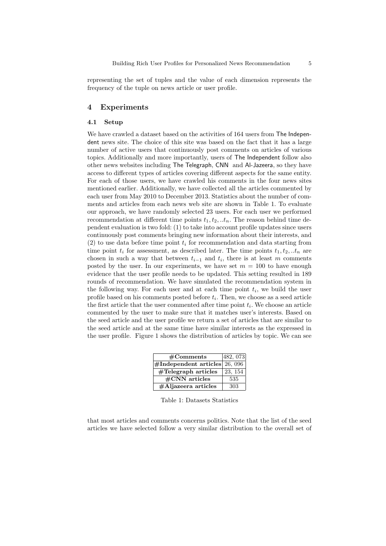representing the set of tuples and the value of each dimension represents the frequency of the tuple on news article or user profile.

## 4 Experiments

#### 4.1 Setup

We have crawled a dataset based on the activities of 164 users from The Independent news site. The choice of this site was based on the fact that it has a large number of active users that continuously post comments on articles of various topics. Additionally and more importantly, users of The Independent follow also other news websites including The Telegraph, CNN and Al-Jazeera, so they have access to different types of articles covering different aspects for the same entity. For each of those users, we have crawled his comments in the four news sites mentioned earlier. Additionally, we have collected all the articles commented by each user from May 2010 to December 2013. Statistics about the number of comments and articles from each news web site are shown in Table 1. To evaluate our approach, we have randomly selected 23 users. For each user we performed recommendation at different time points  $t_1, t_2, ... t_n$ . The reason behind time dependent evaluation is two fold: (1) to take into account profile updates since users continuously post comments bringing new information about their interests, and (2) to use data before time point  $t_i$  for recommendation and data starting from time point  $t_i$  for assessment, as described later. The time points  $t_1, t_2, ... t_n$  are chosen in such a way that between  $t_{i-1}$  and  $t_i$ , there is at least m comments posted by the user. In our experiments, we have set  $m = 100$  to have enough evidence that the user profile needs to be updated. This setting resulted in 189 rounds of recommendation. We have simulated the recommendation system in the following way. For each user and at each time point  $t_i$ , we build the user profile based on his comments posted before  $t_i$ . Then, we choose as a seed article the first article that the user commented after time point  $t_i$ . We choose an article commented by the user to make sure that it matches user's interests. Based on the seed article and the user profile we return a set of articles that are similar to the seed article and at the same time have similar interests as the expressed in the user profile. Figure 1 shows the distribution of articles by topic. We can see

| #Comments                         | 482, 073 |
|-----------------------------------|----------|
| $\#$ Independent articles 26, 096 |          |
| $\#\text{Telegraph articles}$     | 23, 154  |
| $\#\text{CNN}$ articles           | 535      |
| $\#$ Aljazeera articles           | 303      |

Table 1: Datasets Statistics

that most articles and comments concerns politics. Note that the list of the seed articles we have selected follow a very similar distribution to the overall set of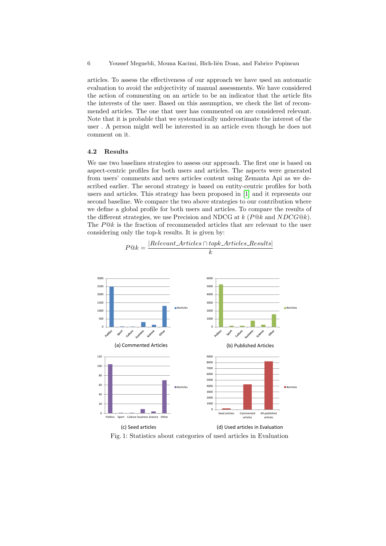6 Youssef Meguebli, Mouna Kacimi, Bich-liên Doan, and Fabrice Popineau

articles. To assess the effectiveness of our approach we have used an automatic evaluation to avoid the subjectivity of manual assessments. We have considered the action of commenting on an article to be an indicator that the article fits the interests of the user. Based on this assumption, we check the list of recommended articles. The one that user has commented on are considered relevant. Note that it is probable that we systematically underestimate the interest of the user . A person might well be interested in an article even though he does not comment on it.

### 4.2 Results

We use two baselines strategies to assess our approach. The first one is based on aspect-centric profiles for both users and articles. The aspects were generated from users' comments and news articles content using Zemanta Api as we described earlier. The second strategy is based on entity-centric profiles for both users and articles. This strategy has been proposed in [\[1\]](#page-7-0) and it represents our second baseline. We compare the two above strategies to our contribution where we define a global profile for both users and articles. To compare the results of the different strategies, we use Precision and NDCG at  $k$  ( $P@k$  and  $NDCG@k$ ). The  $P@k$  is the fraction of recommended articles that are relevant to the user considering only the top-k results. It is given by:

 $P@k = \frac{|Relevant \cdot Articles \cap topk \cdot Articles \cdot Results|}{|R}$ 



Fig. 1: Statistics about categories of used articles in Evaluation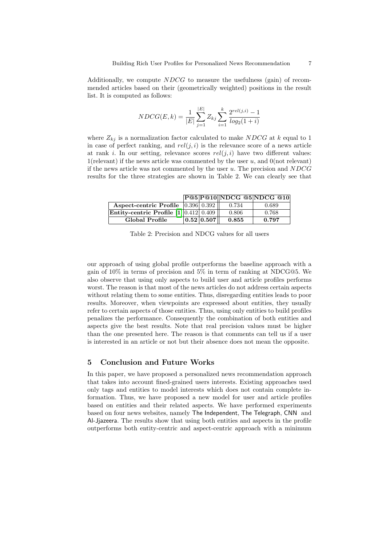Additionally, we compute  $NDCG$  to measure the usefulness (gain) of recommended articles based on their (geometrically weighted) positions in the result list. It is computed as follows:

$$
NDCG(E,k) = \frac{1}{|E|} \sum_{j=1}^{|E|} Z_{kj} \sum_{i=1}^{k} \frac{2^{rel(j,i)} - 1}{log_2(1+i)}
$$

where  $Z_{kj}$  is a normalization factor calculated to make NDCG at k equal to 1 in case of perfect ranking, and  $rel(j, i)$  is the relevance score of a news article at rank i. In our setting, relevance scores  $rel(j, i)$  have two different values: 1(relevant) if the news article was commented by the user  $u$ , and  $0$ (not relevant) if the news article was not commented by the user  $u$ . The precision and  $NDCG$ results for the three strategies are shown in Table 2. We can clearly see that

P@5 P@10 NDCG @5 NDCG @10 **Aspect-centric Profile**  $\begin{array}{|c|c|c|c|c|c|c|c|} \hline 0.396 & 0.392 & 0.734 & 0.689 \hline \end{array}$ 

| Entity-centric Profile $[1]$ 0.412 0.409 |            | 0.806 | 0.768 |
|------------------------------------------|------------|-------|-------|
| Global Profile                           | 0.52 0.507 | 0.855 | 0.797 |
|                                          |            |       |       |

Table 2: Precision and NDCG values for all users

our approach of using global profile outperforms the baseline approach with a gain of 10% in terms of precision and 5% in term of ranking at NDCG@5. We also observe that using only aspects to build user and article profiles performs worst. The reason is that most of the news articles do not address certain aspects without relating them to some entities. Thus, disregarding entities leads to poor results. Moreover, when viewpoints are expressed about entities, they usually refer to certain aspects of those entities. Thus, using only entities to build profiles penalizes the performance. Consequently the combination of both entities and aspects give the best results. Note that real precision values must be higher than the one presented here. The reason is that comments can tell us if a user is interested in an article or not but their absence does not mean the opposite.

## 5 Conclusion and Future Works

In this paper, we have proposed a personalized news recommendation approach that takes into account fined-grained users interests. Existing approaches used only tags and entities to model interests which does not contain complete information. Thus, we have proposed a new model for user and article profiles based on entities and their related aspects. We have performed experiments based on four news websites, namely The Independent, The Telegraph, CNN and Al-Jjazeera. The results show that using both entities and aspects in the profile outperforms both entity-centric and aspect-centric approach with a minimum